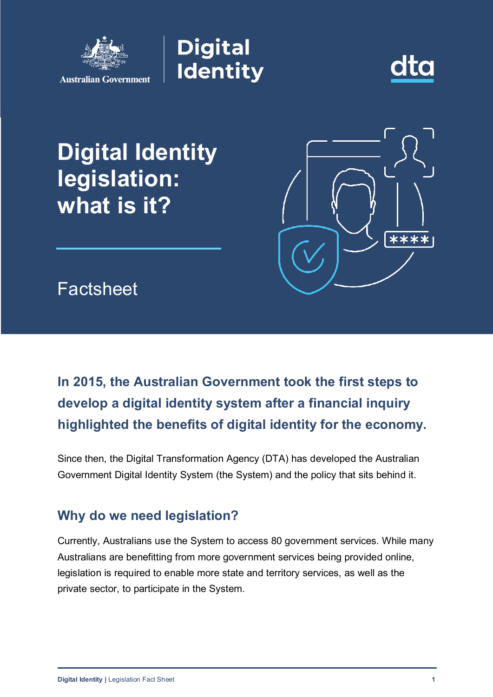





# **Digital Identity legislation: what is it?**



**Factsheet** 

# **In 2015, the Australian Government took the first steps to develop a digital identity system after a financial inquiry highlighted the benefits of digital identity for the economy.**

Since then, the Digital Transformation Agency (DTA) has developed the Australian Government Digital Identity System (the System) and the policy that sits behind it.

# **Why do we need legislation?**

Currently, Australians use the System to access 80 government services. While many Australians are benefitting from more government services being provided online, legislation is required to enable more state and territory services, as well as the private sector, to participate in the System.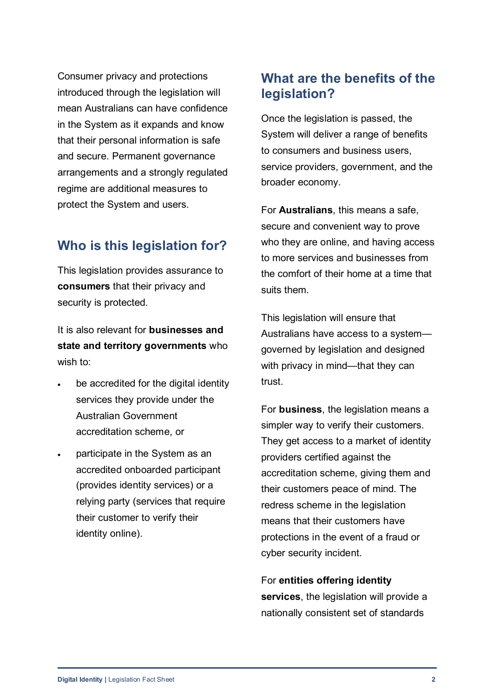Consumer privacy and protections introduced through the legislation will mean Australians can have confidence in the System as it expands and know that their personal information is safe and secure. Permanent governance arrangements and a strongly regulated regime are additional measures to protect the System and users.

# **Who is this legislation for?**

This legislation provides assurance to **consumers** that their privacy and security is protected.

It is also relevant for **businesses and state and territory governments** who wish to:

- be accredited for the digital identity services they provide under the Australian Government accreditation scheme, or
- participate in the System as an accredited onboarded participant (provides identity services) or a relying party (services that require their customer to verify their identity online).

# **What are the benefits of the legislation?**

Once the legislation is passed, the System will deliver a range of benefits to consumers and business users, service providers, government, and the broader economy.

For **Australians**, this means a safe, secure and convenient way to prove who they are online, and having access to more services and businesses from the comfort of their home at a time that suits them.

This legislation will ensure that Australians have access to a system governed by legislation and designed with privacy in mind—that they can trust.

For **business**, the legislation means a simpler way to verify their customers. They get access to a market of identity providers certified against the accreditation scheme, giving them and their customers peace of mind. The redress scheme in the legislation means that their customers have protections in the event of a fraud or cyber security incident.

For **entities offering identity services**, the legislation will provide a nationally consistent set of standards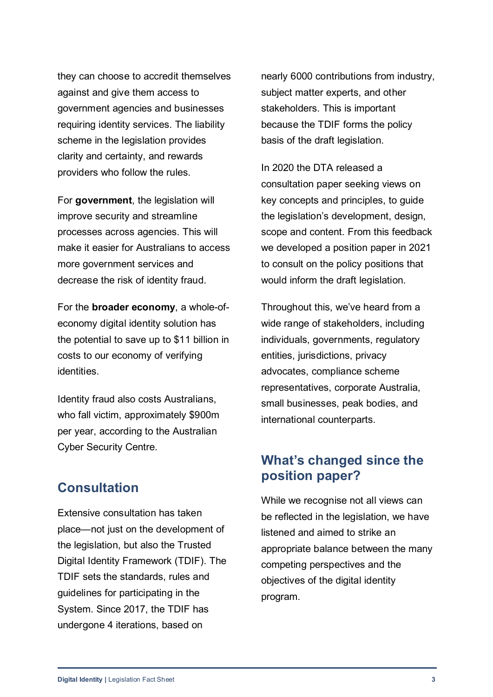they can choose to accredit themselves against and give them access to government agencies and businesses requiring identity services. The liability scheme in the legislation provides clarity and certainty, and rewards providers who follow the rules.

For **government**, the legislation will improve security and streamline processes across agencies. This will make it easier for Australians to access more government services and decrease the risk of identity fraud.

For the **broader economy**, a whole-ofeconomy digital identity solution has the potential to save up to \$11 billion in costs to our economy of verifying identities.

Identity fraud also costs Australians, who fall victim, approximately \$900m per year, according to the Australian Cyber Security Centre.

#### **Consultation**

Extensive consultation has taken place—not just on the development of the legislation, but also the Trusted Digital Identity Framework (TDIF). The TDIF sets the standards, rules and guidelines for participating in the System. Since 2017, the TDIF has undergone 4 iterations, based on

nearly 6000 contributions from industry, subject matter experts, and other stakeholders. This is important because the TDIF forms the policy basis of the draft legislation.

In 2020 the DTA released a consultation paper seeking views on key concepts and principles, to guide the legislation's development, design, scope and content. From this feedback we developed a position paper in 2021 to consult on the policy positions that would inform the draft legislation.

Throughout this, we've heard from a wide range of stakeholders, including individuals, governments, regulatory entities, jurisdictions, privacy advocates, compliance scheme representatives, corporate Australia, small businesses, peak bodies, and international counterparts.

# **What's changed since the position paper?**

While we recognise not all views can be reflected in the legislation, we have listened and aimed to strike an appropriate balance between the many competing perspectives and the objectives of the digital identity program.